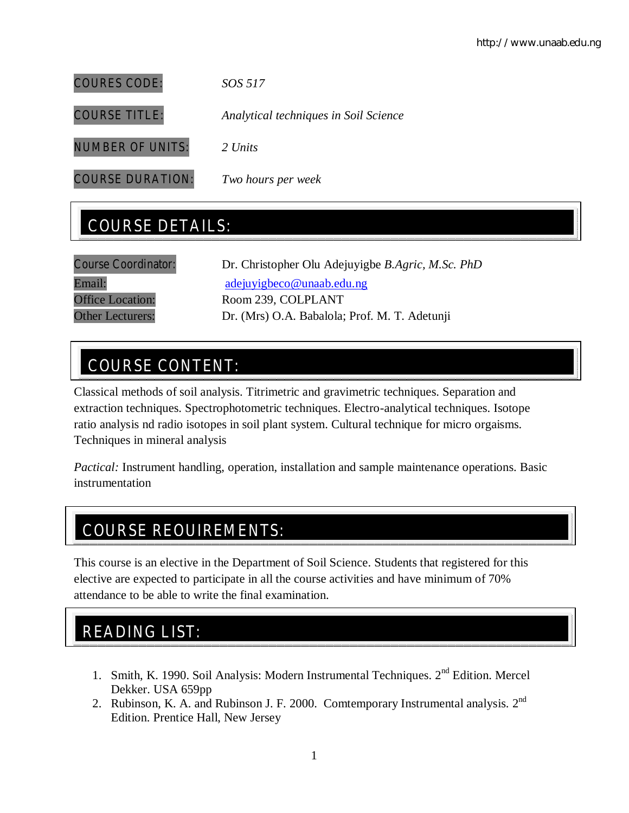COURES CODE: *SOS 517* COURSE TITLE: *Analytical techniques in Soil Science* NUMBER OF UNITS: *2 Units* COURSE DURATION: *Two hours per week*

# COURSE DETAILS:

| <b>Course Coordinator:</b> | Dr. Christopher Olu Adejuyigbe B.Agric, M.Sc. PhD |
|----------------------------|---------------------------------------------------|
| Email:                     | adejuyigbeco@unaab.edu.ng                         |
| <b>Office Location:</b>    | Room 239, COLPLANT                                |
| <b>Other Lecturers:</b>    | Dr. (Mrs) O.A. Babalola; Prof. M. T. Adetunji     |

# COURSE CONTENT:

Classical methods of soil analysis. Titrimetric and gravimetric techniques. Separation and extraction techniques. Spectrophotometric techniques. Electro-analytical techniques. Isotope ratio analysis nd radio isotopes in soil plant system. Cultural technique for micro orgaisms. Techniques in mineral analysis

*Pactical:* Instrument handling, operation, installation and sample maintenance operations. Basic instrumentation

# COURSE REQUIREMENTS:

This course is an elective in the Department of Soil Science. Students that registered for this elective are expected to participate in all the course activities and have minimum of 70% attendance to be able to write the final examination.

# READING LIST:

- 1. Smith, K. 1990. Soil Analysis: Modern Instrumental Techniques. 2nd Edition. Mercel Dekker. USA 659pp
- 2. Rubinson, K. A. and Rubinson J. F. 2000. Comtemporary Instrumental analysis.  $2^{nd}$ Edition. Prentice Hall, New Jersey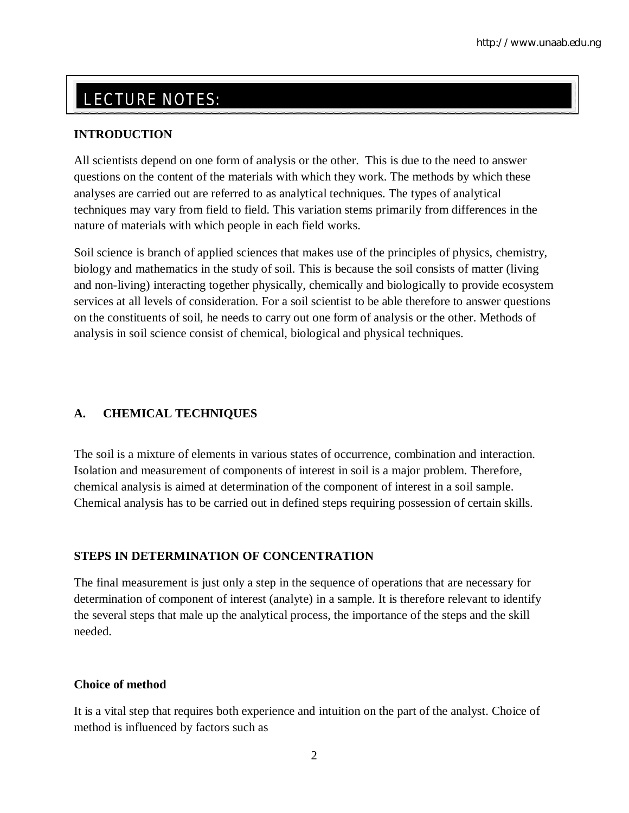# LECTURE NOTES:

## **INTRODUCTION**

All scientists depend on one form of analysis or the other. This is due to the need to answer questions on the content of the materials with which they work. The methods by which these analyses are carried out are referred to as analytical techniques. The types of analytical techniques may vary from field to field. This variation stems primarily from differences in the nature of materials with which people in each field works.

Soil science is branch of applied sciences that makes use of the principles of physics, chemistry, biology and mathematics in the study of soil. This is because the soil consists of matter (living and non-living) interacting together physically, chemically and biologically to provide ecosystem services at all levels of consideration. For a soil scientist to be able therefore to answer questions on the constituents of soil, he needs to carry out one form of analysis or the other. Methods of analysis in soil science consist of chemical, biological and physical techniques.

## **A. CHEMICAL TECHNIQUES**

The soil is a mixture of elements in various states of occurrence, combination and interaction. Isolation and measurement of components of interest in soil is a major problem. Therefore, chemical analysis is aimed at determination of the component of interest in a soil sample. Chemical analysis has to be carried out in defined steps requiring possession of certain skills.

## **STEPS IN DETERMINATION OF CONCENTRATION**

The final measurement is just only a step in the sequence of operations that are necessary for determination of component of interest (analyte) in a sample. It is therefore relevant to identify the several steps that male up the analytical process, the importance of the steps and the skill needed.

## **Choice of method**

It is a vital step that requires both experience and intuition on the part of the analyst. Choice of method is influenced by factors such as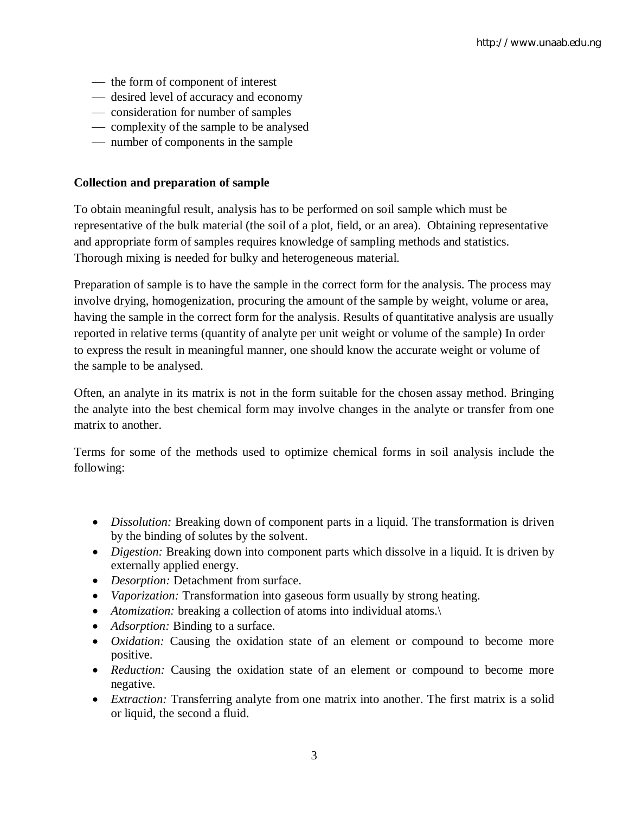- the form of component of interest
- desired level of accuracy and economy
- consideration for number of samples
- complexity of the sample to be analysed
- number of components in the sample

#### **Collection and preparation of sample**

To obtain meaningful result, analysis has to be performed on soil sample which must be representative of the bulk material (the soil of a plot, field, or an area). Obtaining representative and appropriate form of samples requires knowledge of sampling methods and statistics. Thorough mixing is needed for bulky and heterogeneous material.

Preparation of sample is to have the sample in the correct form for the analysis. The process may involve drying, homogenization, procuring the amount of the sample by weight, volume or area, having the sample in the correct form for the analysis. Results of quantitative analysis are usually reported in relative terms (quantity of analyte per unit weight or volume of the sample) In order to express the result in meaningful manner, one should know the accurate weight or volume of the sample to be analysed.

Often, an analyte in its matrix is not in the form suitable for the chosen assay method. Bringing the analyte into the best chemical form may involve changes in the analyte or transfer from one matrix to another.

Terms for some of the methods used to optimize chemical forms in soil analysis include the following:

- *Dissolution:* Breaking down of component parts in a liquid. The transformation is driven by the binding of solutes by the solvent.
- *Digestion:* Breaking down into component parts which dissolve in a liquid. It is driven by externally applied energy.
- *Desorption:* Detachment from surface.
- *Vaporization:* Transformation into gaseous form usually by strong heating.
- *Atomization:* breaking a collection of atoms into individual atoms.\
- *Adsorption:* Binding to a surface.
- *Oxidation:* Causing the oxidation state of an element or compound to become more positive.
- *Reduction:* Causing the oxidation state of an element or compound to become more negative.
- *Extraction:* Transferring analyte from one matrix into another. The first matrix is a solid or liquid, the second a fluid.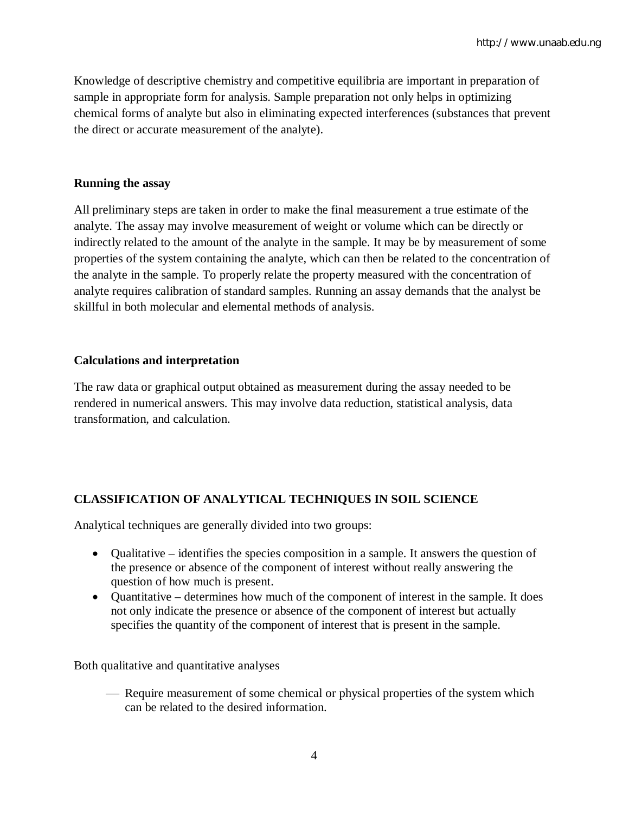Knowledge of descriptive chemistry and competitive equilibria are important in preparation of sample in appropriate form for analysis. Sample preparation not only helps in optimizing chemical forms of analyte but also in eliminating expected interferences (substances that prevent the direct or accurate measurement of the analyte).

## **Running the assay**

All preliminary steps are taken in order to make the final measurement a true estimate of the analyte. The assay may involve measurement of weight or volume which can be directly or indirectly related to the amount of the analyte in the sample. It may be by measurement of some properties of the system containing the analyte, which can then be related to the concentration of the analyte in the sample. To properly relate the property measured with the concentration of analyte requires calibration of standard samples. Running an assay demands that the analyst be skillful in both molecular and elemental methods of analysis.

## **Calculations and interpretation**

The raw data or graphical output obtained as measurement during the assay needed to be rendered in numerical answers. This may involve data reduction, statistical analysis, data transformation, and calculation.

## **CLASSIFICATION OF ANALYTICAL TECHNIQUES IN SOIL SCIENCE**

Analytical techniques are generally divided into two groups:

- Qualitative identifies the species composition in a sample. It answers the question of the presence or absence of the component of interest without really answering the question of how much is present.
- Quantitative determines how much of the component of interest in the sample. It does not only indicate the presence or absence of the component of interest but actually specifies the quantity of the component of interest that is present in the sample.

Both qualitative and quantitative analyses

 Require measurement of some chemical or physical properties of the system which can be related to the desired information.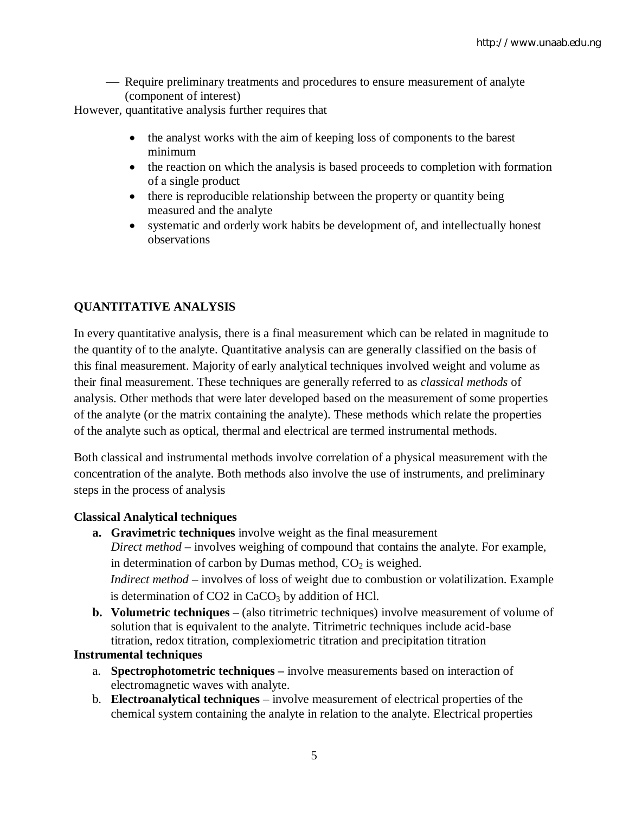Require preliminary treatments and procedures to ensure measurement of analyte (component of interest)

However, quantitative analysis further requires that

- the analyst works with the aim of keeping loss of components to the barest minimum
- the reaction on which the analysis is based proceeds to completion with formation of a single product
- there is reproducible relationship between the property or quantity being measured and the analyte
- systematic and orderly work habits be development of, and intellectually honest observations

## **QUANTITATIVE ANALYSIS**

In every quantitative analysis, there is a final measurement which can be related in magnitude to the quantity of to the analyte. Quantitative analysis can are generally classified on the basis of this final measurement. Majority of early analytical techniques involved weight and volume as their final measurement. These techniques are generally referred to as *classical methods* of analysis. Other methods that were later developed based on the measurement of some properties of the analyte (or the matrix containing the analyte). These methods which relate the properties of the analyte such as optical, thermal and electrical are termed instrumental methods.

Both classical and instrumental methods involve correlation of a physical measurement with the concentration of the analyte. Both methods also involve the use of instruments, and preliminary steps in the process of analysis

## **Classical Analytical techniques**

- **a. Gravimetric techniques** involve weight as the final measurement *Direct method* – involves weighing of compound that contains the analyte. For example, in determination of carbon by Dumas method,  $CO<sub>2</sub>$  is weighed. *Indirect method* – involves of loss of weight due to combustion or volatilization. Example is determination of  $CO2$  in  $CaCO<sub>3</sub>$  by addition of HCl.
- **b. Volumetric techniques** (also titrimetric techniques) involve measurement of volume of solution that is equivalent to the analyte. Titrimetric techniques include acid-base titration, redox titration, complexiometric titration and precipitation titration

## **Instrumental techniques**

- a. **Spectrophotometric techniques –** involve measurements based on interaction of electromagnetic waves with analyte.
- b. **Electroanalytical techniques** involve measurement of electrical properties of the chemical system containing the analyte in relation to the analyte. Electrical properties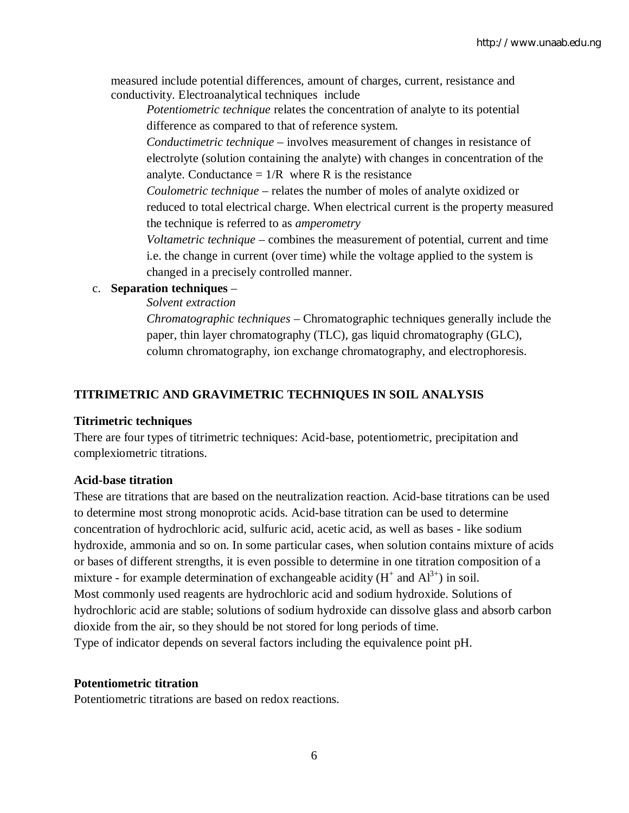measured include potential differences, amount of charges, current, resistance and conductivity. Electroanalytical techniques include

*Potentiometric technique* relates the concentration of analyte to its potential difference as compared to that of reference system.

*Conductimetric technique* – involves measurement of changes in resistance of electrolyte (solution containing the analyte) with changes in concentration of the analyte. Conductance  $= 1/R$  where R is the resistance

*Coulometric technique* – relates the number of moles of analyte oxidized or reduced to total electrical charge. When electrical current is the property measured the technique is referred to as *amperometry*

*Voltametric technique* – combines the measurement of potential, current and time i.e. the change in current (over time) while the voltage applied to the system is changed in a precisely controlled manner.

## c. **Separation techniques** –

*Solvent extraction*

*Chromatographic techniques* – Chromatographic techniques generally include the paper, thin layer chromatography (TLC), gas liquid chromatography (GLC), column chromatography, ion exchange chromatography, and electrophoresis.

## **TITRIMETRIC AND GRAVIMETRIC TECHNIQUES IN SOIL ANALYSIS**

## **Titrimetric techniques**

There are four types of titrimetric techniques: Acid-base, potentiometric, precipitation and complexiometric titrations.

## **Acid-base titration**

These are titrations that are based on the neutralization reaction. Acid-base titrations can be used to determine most strong monoprotic acids. Acid-base titration can be used to determine concentration of hydrochloric acid, sulfuric acid, acetic acid, as well as bases - like sodium hydroxide, ammonia and so on. In some particular cases, when solution contains mixture of acids or bases of different strengths, it is even possible to determine in one titration composition of a mixture - for example determination of exchangeable acidity  $(H^+$  and  $Al^{3+})$  in soil. Most commonly used reagents are hydrochloric acid and sodium hydroxide. Solutions of hydrochloric acid are stable; solutions of sodium hydroxide can dissolve glass and absorb carbon dioxide from the air, so they should be not stored for long periods of time. Type of indicator depends on several factors including the equivalence point pH.

## **Potentiometric titration**

Potentiometric titrations are based on redox reactions.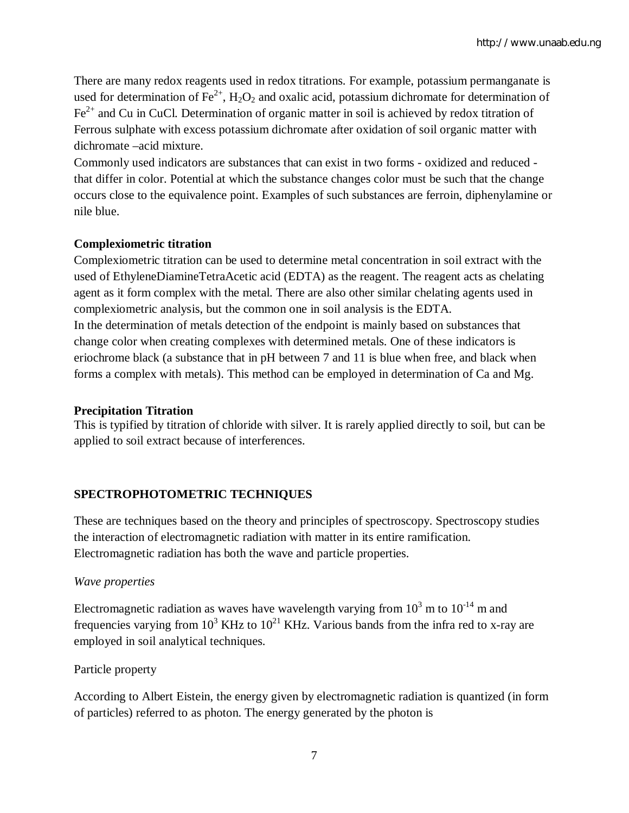There are many redox reagents used in redox titrations. For example, potassium permanganate is used for determination of Fe<sup>2+</sup>, H<sub>2</sub>O<sub>2</sub> and oxalic acid, potassium dichromate for determination of  $Fe<sup>2+</sup>$  and Cu in CuCl. Determination of organic matter in soil is achieved by redox titration of Ferrous sulphate with excess potassium dichromate after oxidation of soil organic matter with dichromate –acid mixture.

Commonly used indicators are substances that can exist in two forms - oxidized and reduced that differ in color. Potential at which the substance changes color must be such that the change occurs close to the equivalence point. Examples of such substances are ferroin, diphenylamine or nile blue.

## **Complexiometric titration**

Complexiometric titration can be used to determine metal concentration in soil extract with the used of EthyleneDiamineTetraAcetic acid (EDTA) as the reagent. The reagent acts as chelating agent as it form complex with the metal. There are also other similar chelating agents used in complexiometric analysis, but the common one in soil analysis is the EDTA. In the determination of metals detection of the endpoint is mainly based on substances that change color when creating complexes with determined metals. One of these indicators is eriochrome black (a substance that in pH between 7 and 11 is blue when free, and black when forms a complex with metals). This method can be employed in determination of Ca and Mg.

## **Precipitation Titration**

This is typified by titration of chloride with silver. It is rarely applied directly to soil, but can be applied to soil extract because of interferences.

# **SPECTROPHOTOMETRIC TECHNIQUES**

These are techniques based on the theory and principles of spectroscopy. Spectroscopy studies the interaction of electromagnetic radiation with matter in its entire ramification. Electromagnetic radiation has both the wave and particle properties.

## *Wave properties*

Electromagnetic radiation as waves have wavelength varying from  $10^3$  m to  $10^{-14}$  m and frequencies varying from  $10^3$  KHz to  $10^{21}$  KHz. Various bands from the infra red to x-ray are employed in soil analytical techniques.

Particle property

According to Albert Eistein, the energy given by electromagnetic radiation is quantized (in form of particles) referred to as photon. The energy generated by the photon is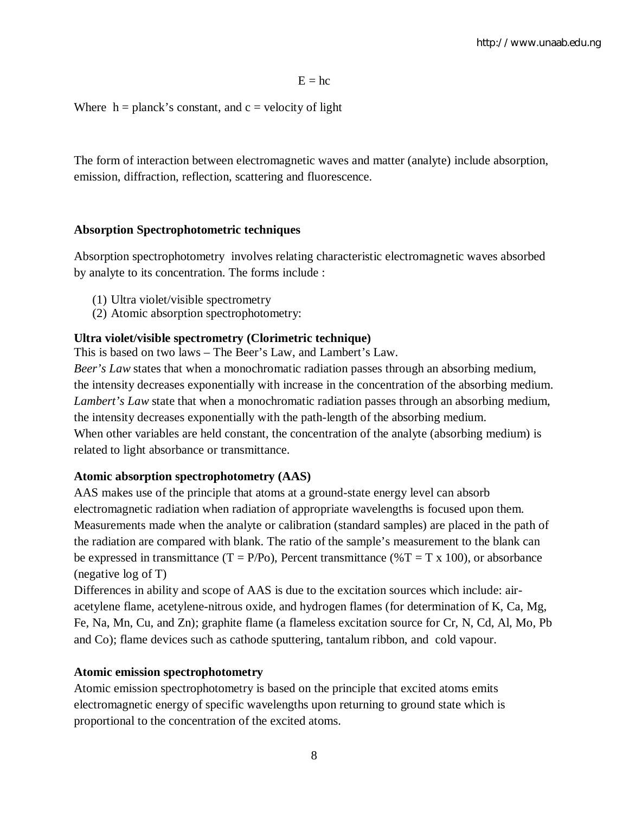$E = hc$ 

Where  $h =$  planck's constant, and  $c =$  velocity of light

The form of interaction between electromagnetic waves and matter (analyte) include absorption, emission, diffraction, reflection, scattering and fluorescence.

#### **Absorption Spectrophotometric techniques**

Absorption spectrophotometry involves relating characteristic electromagnetic waves absorbed by analyte to its concentration. The forms include :

- (1) Ultra violet/visible spectrometry
- (2) Atomic absorption spectrophotometry:

## **Ultra violet/visible spectrometry (Clorimetric technique)**

This is based on two laws – The Beer's Law, and Lambert's Law.

*Beer's Law* states that when a monochromatic radiation passes through an absorbing medium, the intensity decreases exponentially with increase in the concentration of the absorbing medium. *Lambert's Law* state that when a monochromatic radiation passes through an absorbing medium, the intensity decreases exponentially with the path-length of the absorbing medium. When other variables are held constant, the concentration of the analyte (absorbing medium) is related to light absorbance or transmittance.

#### **Atomic absorption spectrophotometry (AAS)**

AAS makes use of the principle that atoms at a ground-state energy level can absorb electromagnetic radiation when radiation of appropriate wavelengths is focused upon them. Measurements made when the analyte or calibration (standard samples) are placed in the path of the radiation are compared with blank. The ratio of the sample's measurement to the blank can be expressed in transmittance (T = P/Po), Percent transmittance (%T = T x 100), or absorbance (negative log of T)

Differences in ability and scope of AAS is due to the excitation sources which include: airacetylene flame, acetylene-nitrous oxide, and hydrogen flames (for determination of K, Ca, Mg, Fe, Na, Mn, Cu, and Zn); graphite flame (a flameless excitation source for Cr, N, Cd, Al, Mo, Pb and Co); flame devices such as cathode sputtering, tantalum ribbon, and cold vapour.

#### **Atomic emission spectrophotometry**

Atomic emission spectrophotometry is based on the principle that excited atoms emits electromagnetic energy of specific wavelengths upon returning to ground state which is proportional to the concentration of the excited atoms.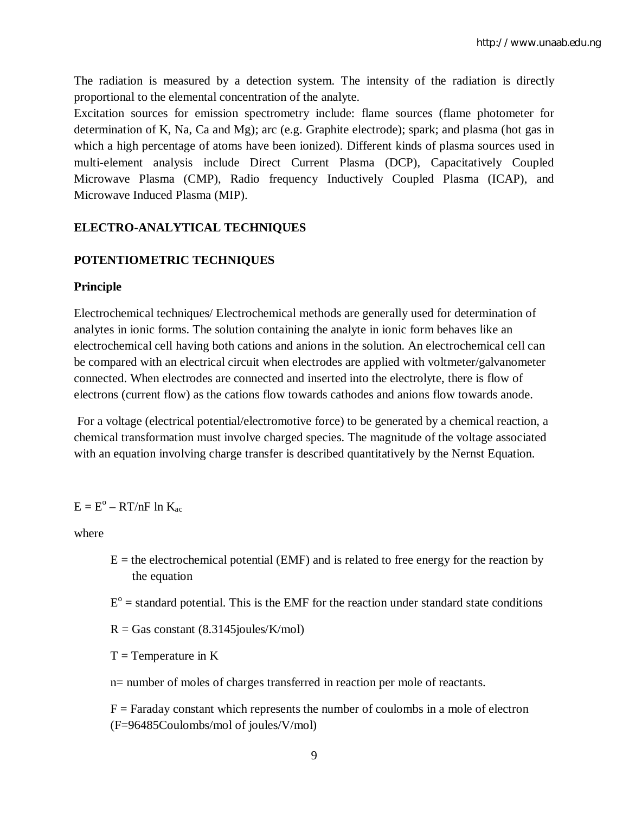The radiation is measured by a detection system. The intensity of the radiation is directly proportional to the elemental concentration of the analyte.

Excitation sources for emission spectrometry include: flame sources (flame photometer for determination of K, Na, Ca and Mg); arc (e.g. Graphite electrode); spark; and plasma (hot gas in which a high percentage of atoms have been ionized). Different kinds of plasma sources used in multi-element analysis include Direct Current Plasma (DCP), Capacitatively Coupled Microwave Plasma (CMP), Radio frequency Inductively Coupled Plasma (ICAP), and Microwave Induced Plasma (MIP).

## **ELECTRO-ANALYTICAL TECHNIQUES**

## **POTENTIOMETRIC TECHNIQUES**

#### **Principle**

Electrochemical techniques/ Electrochemical methods are generally used for determination of analytes in ionic forms. The solution containing the analyte in ionic form behaves like an electrochemical cell having both cations and anions in the solution. An electrochemical cell can be compared with an electrical circuit when electrodes are applied with voltmeter/galvanometer connected. When electrodes are connected and inserted into the electrolyte, there is flow of electrons (current flow) as the cations flow towards cathodes and anions flow towards anode.

For a voltage (electrical potential/electromotive force) to be generated by a chemical reaction, a chemical transformation must involve charged species. The magnitude of the voltage associated with an equation involving charge transfer is described quantitatively by the Nernst Equation.

## $E = E^{\circ} - RT/nF$  ln  $K_{ac}$

where

- $E =$  the electrochemical potential (EMF) and is related to free energy for the reaction by the equation
- $E<sup>o</sup>$  = standard potential. This is the EMF for the reaction under standard state conditions
- $R = Gas constant (8.3145joules/K/mol)$
- $T =$ Temperature in K
- n= number of moles of charges transferred in reaction per mole of reactants.

 $F =$  Faraday constant which represents the number of coulombs in a mole of electron (F=96485Coulombs/mol of joules/V/mol)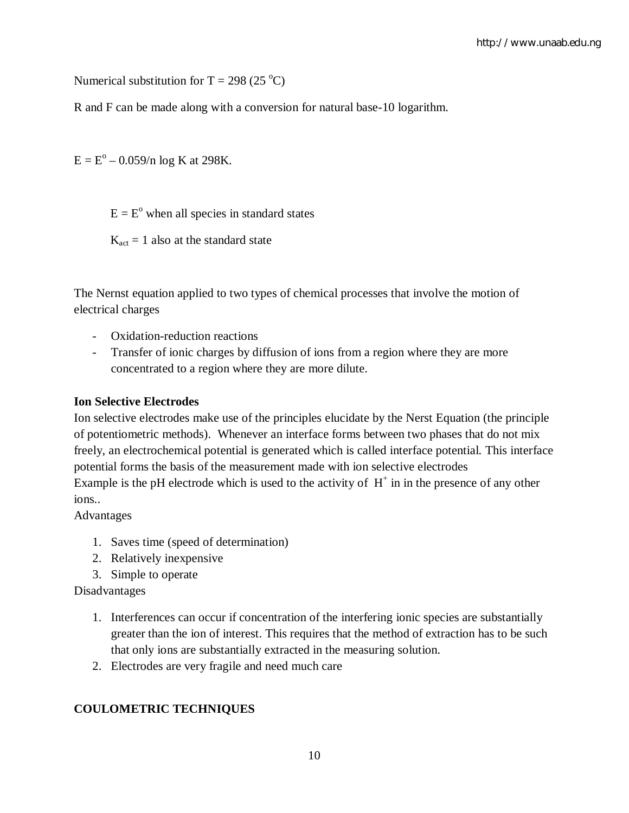Numerical substitution for T = 298 (25  $^{\circ}$ C)

R and F can be made along with a conversion for natural base-10 logarithm.

 $E = E^{\circ} - 0.059/n \log K$  at 298K.

 $E = E<sup>o</sup>$  when all species in standard states

 $K_{\text{act}} = 1$  also at the standard state

The Nernst equation applied to two types of chemical processes that involve the motion of electrical charges

- Oxidation-reduction reactions
- Transfer of ionic charges by diffusion of ions from a region where they are more concentrated to a region where they are more dilute.

#### **Ion Selective Electrodes**

Ion selective electrodes make use of the principles elucidate by the Nerst Equation (the principle of potentiometric methods). Whenever an interface forms between two phases that do not mix freely, an electrochemical potential is generated which is called interface potential. This interface potential forms the basis of the measurement made with ion selective electrodes Example is the pH electrode which is used to the activity of  $H^+$  in in the presence of any other ions..

Advantages

- 1. Saves time (speed of determination)
- 2. Relatively inexpensive
- 3. Simple to operate

Disadvantages

- 1. Interferences can occur if concentration of the interfering ionic species are substantially greater than the ion of interest. This requires that the method of extraction has to be such that only ions are substantially extracted in the measuring solution.
- 2. Electrodes are very fragile and need much care

## **COULOMETRIC TECHNIQUES**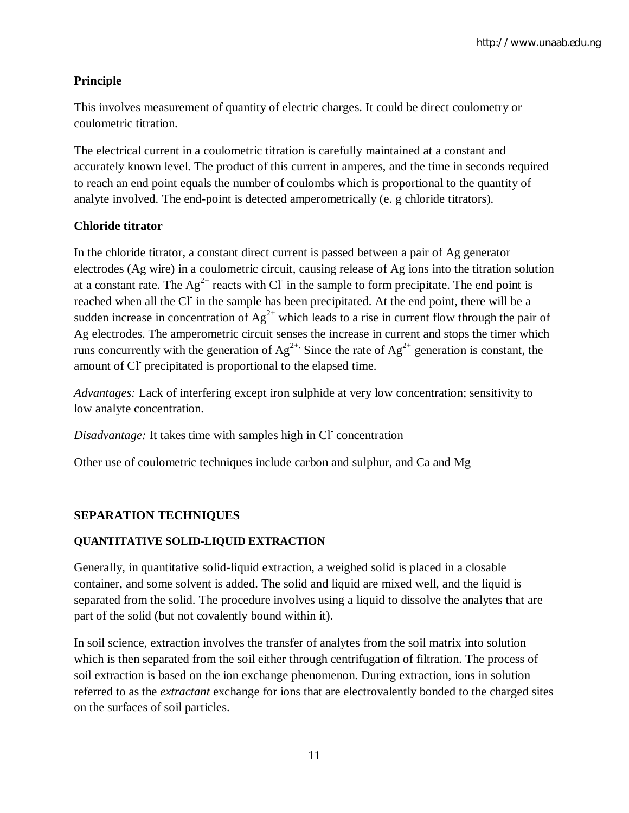## **Principle**

This involves measurement of quantity of electric charges. It could be direct coulometry or coulometric titration.

The electrical current in a coulometric titration is carefully maintained at a constant and accurately known level. The product of this current in amperes, and the time in seconds required to reach an end point equals the number of coulombs which is proportional to the quantity of analyte involved. The end-point is detected amperometrically (e. g chloride titrators).

## **Chloride titrator**

In the chloride titrator, a constant direct current is passed between a pair of Ag generator electrodes (Ag wire) in a coulometric circuit, causing release of Ag ions into the titration solution at a constant rate. The  $Ag^{2+}$  reacts with CI in the sample to form precipitate. The end point is reached when all the Cl in the sample has been precipitated. At the end point, there will be a sudden increase in concentration of  $Ag^{2+}$  which leads to a rise in current flow through the pair of Ag electrodes. The amperometric circuit senses the increase in current and stops the timer which runs concurrently with the generation of  $Ag^{2+}$ . Since the rate of  $Ag^{2+}$  generation is constant, the amount of Cl<sup>-</sup> precipitated is proportional to the elapsed time.

*Advantages:* Lack of interfering except iron sulphide at very low concentration; sensitivity to low analyte concentration.

Disadvantage: It takes time with samples high in Cl concentration

Other use of coulometric techniques include carbon and sulphur, and Ca and Mg

## **SEPARATION TECHNIQUES**

## **QUANTITATIVE SOLID-LIQUID EXTRACTION**

Generally, in quantitative solid-liquid extraction, a weighed solid is placed in a closable container, and some solvent is added. The solid and liquid are mixed well, and the liquid is separated from the solid. The procedure involves using a liquid to dissolve the analytes that are part of the solid (but not covalently bound within it).

In soil science, extraction involves the transfer of analytes from the soil matrix into solution which is then separated from the soil either through centrifugation of filtration. The process of soil extraction is based on the ion exchange phenomenon. During extraction, ions in solution referred to as the *extractant* exchange for ions that are electrovalently bonded to the charged sites on the surfaces of soil particles.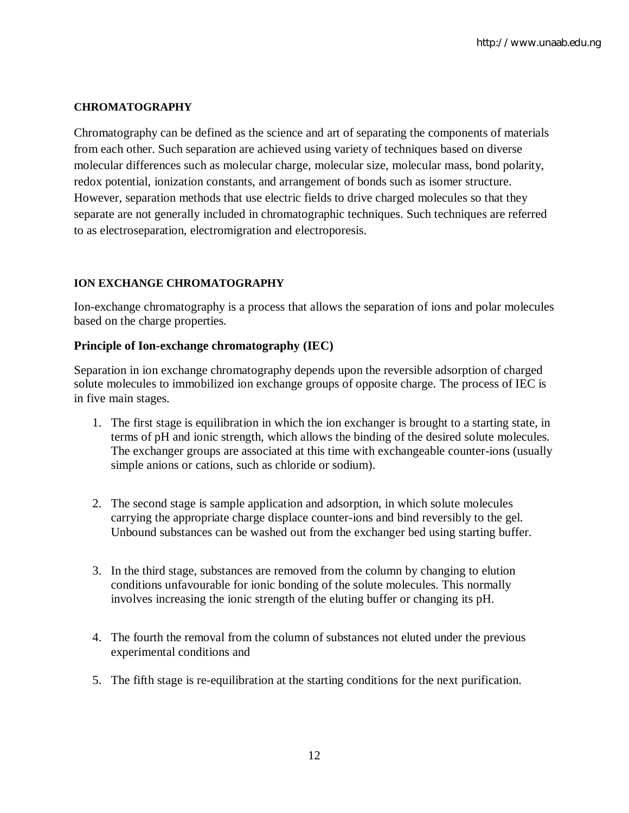### **CHROMATOGRAPHY**

Chromatography can be defined as the science and art of separating the components of materials from each other. Such separation are achieved using variety of techniques based on diverse molecular differences such as molecular charge, molecular size, molecular mass, bond polarity, redox potential, ionization constants, and arrangement of bonds such as isomer structure. However, separation methods that use electric fields to drive charged molecules so that they separate are not generally included in chromatographic techniques. Such techniques are referred to as electroseparation, electromigration and electroporesis.

#### **ION EXCHANGE CHROMATOGRAPHY**

Ion-exchange chromatography is a process that allows the separation of ions and polar molecules based on the charge properties.

#### **Principle of Ion-exchange chromatography (IEC)**

Separation in ion exchange chromatography depends upon the reversible adsorption of charged solute molecules to immobilized ion exchange groups of opposite charge. The process of IEC is in five main stages.

- 1. The first stage is equilibration in which the ion exchanger is brought to a starting state, in terms of pH and ionic strength, which allows the binding of the desired solute molecules. The exchanger groups are associated at this time with exchangeable counter-ions (usually simple anions or cations, such as chloride or sodium).
- 2. The second stage is sample application and adsorption, in which solute molecules carrying the appropriate charge displace counter-ions and bind reversibly to the gel. Unbound substances can be washed out from the exchanger bed using starting buffer.
- 3. In the third stage, substances are removed from the column by changing to elution conditions unfavourable for ionic bonding of the solute molecules. This normally involves increasing the ionic strength of the eluting buffer or changing its pH.
- 4. The fourth the removal from the column of substances not eluted under the previous experimental conditions and
- 5. The fifth stage is re-equilibration at the starting conditions for the next purification.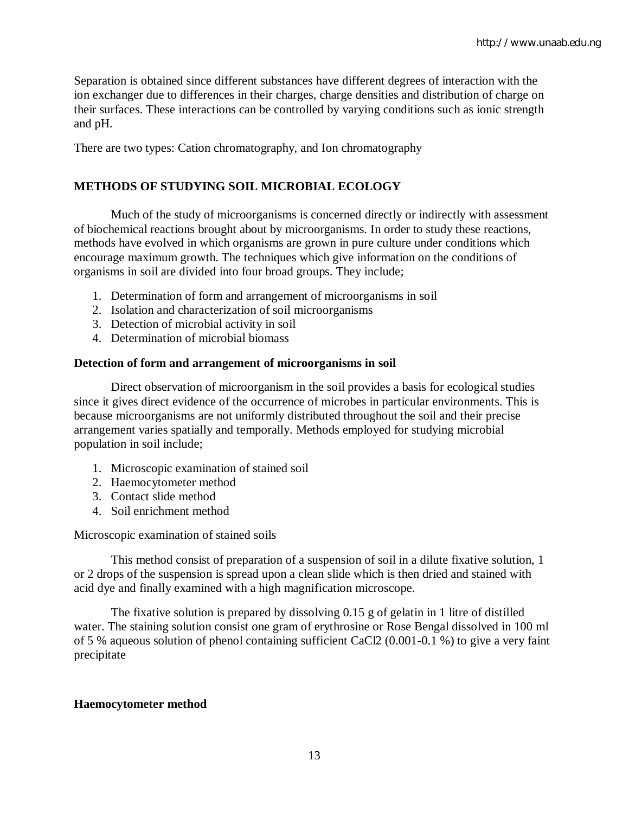Separation is obtained since different substances have different degrees of interaction with the ion exchanger due to differences in their charges, charge densities and distribution of charge on their surfaces. These interactions can be controlled by varying conditions such as ionic strength and pH.

There are two types: Cation chromatography, and Ion chromatography

## **METHODS OF STUDYING SOIL MICROBIAL ECOLOGY**

Much of the study of microorganisms is concerned directly or indirectly with assessment of biochemical reactions brought about by microorganisms. In order to study these reactions, methods have evolved in which organisms are grown in pure culture under conditions which encourage maximum growth. The techniques which give information on the conditions of organisms in soil are divided into four broad groups. They include;

- 1. Determination of form and arrangement of microorganisms in soil
- 2. Isolation and characterization of soil microorganisms
- 3. Detection of microbial activity in soil
- 4. Determination of microbial biomass

#### **Detection of form and arrangement of microorganisms in soil**

Direct observation of microorganism in the soil provides a basis for ecological studies since it gives direct evidence of the occurrence of microbes in particular environments. This is because microorganisms are not uniformly distributed throughout the soil and their precise arrangement varies spatially and temporally. Methods employed for studying microbial population in soil include;

- 1. Microscopic examination of stained soil
- 2. Haemocytometer method
- 3. Contact slide method
- 4. Soil enrichment method

Microscopic examination of stained soils

This method consist of preparation of a suspension of soil in a dilute fixative solution, 1 or 2 drops of the suspension is spread upon a clean slide which is then dried and stained with acid dye and finally examined with a high magnification microscope.

The fixative solution is prepared by dissolving 0.15 g of gelatin in 1 litre of distilled water. The staining solution consist one gram of erythrosine or Rose Bengal dissolved in 100 ml of 5 % aqueous solution of phenol containing sufficient CaCl2 (0.001-0.1 %) to give a very faint precipitate

#### **Haemocytometer method**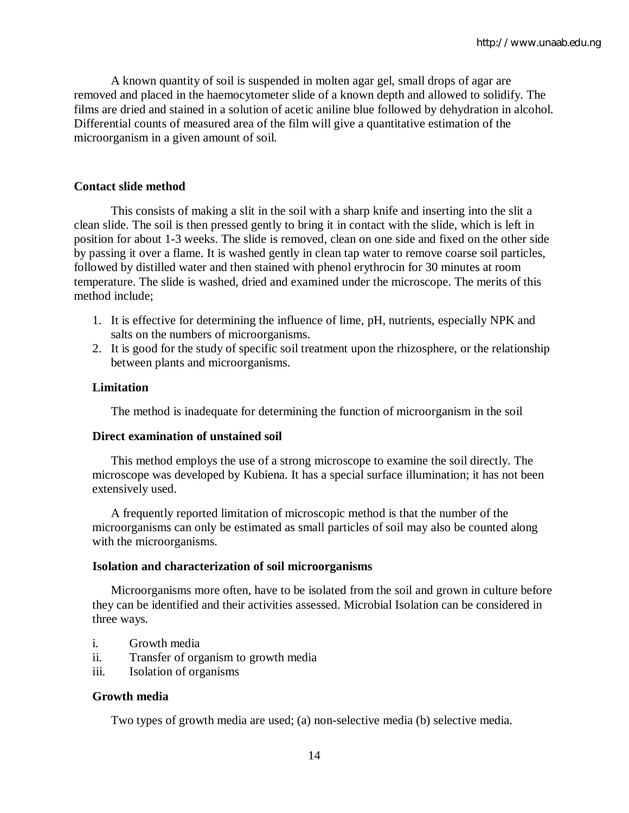A known quantity of soil is suspended in molten agar gel, small drops of agar are removed and placed in the haemocytometer slide of a known depth and allowed to solidify. The films are dried and stained in a solution of acetic aniline blue followed by dehydration in alcohol. Differential counts of measured area of the film will give a quantitative estimation of the microorganism in a given amount of soil.

#### **Contact slide method**

This consists of making a slit in the soil with a sharp knife and inserting into the slit a clean slide. The soil is then pressed gently to bring it in contact with the slide, which is left in position for about 1-3 weeks. The slide is removed, clean on one side and fixed on the other side by passing it over a flame. It is washed gently in clean tap water to remove coarse soil particles, followed by distilled water and then stained with phenol erythrocin for 30 minutes at room temperature. The slide is washed, dried and examined under the microscope. The merits of this method include;

- 1. It is effective for determining the influence of lime, pH, nutrients, especially NPK and salts on the numbers of microorganisms.
- 2. It is good for the study of specific soil treatment upon the rhizosphere, or the relationship between plants and microorganisms.

#### **Limitation**

The method is inadequate for determining the function of microorganism in the soil

#### **Direct examination of unstained soil**

This method employs the use of a strong microscope to examine the soil directly. The microscope was developed by Kubiena. It has a special surface illumination; it has not been extensively used.

A frequently reported limitation of microscopic method is that the number of the microorganisms can only be estimated as small particles of soil may also be counted along with the microorganisms.

#### **Isolation and characterization of soil microorganisms**

Microorganisms more often, have to be isolated from the soil and grown in culture before they can be identified and their activities assessed. Microbial Isolation can be considered in three ways.

- i. Growth media
- ii. Transfer of organism to growth media
- iii. Isolation of organisms

#### **Growth media**

Two types of growth media are used; (a) non-selective media (b) selective media.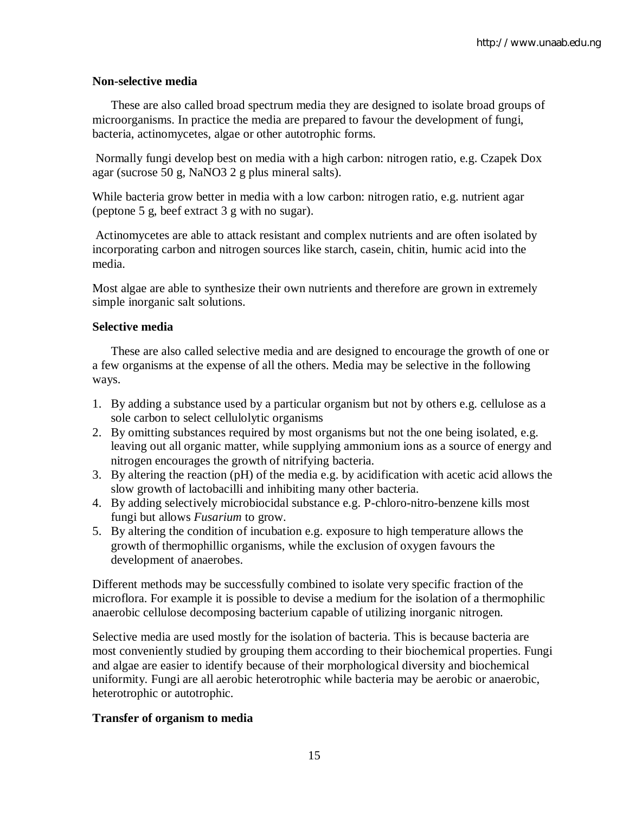### **Non-selective media**

These are also called broad spectrum media they are designed to isolate broad groups of microorganisms. In practice the media are prepared to favour the development of fungi, bacteria, actinomycetes, algae or other autotrophic forms.

Normally fungi develop best on media with a high carbon: nitrogen ratio, e.g. Czapek Dox agar (sucrose 50 g, NaNO3 2 g plus mineral salts).

While bacteria grow better in media with a low carbon: nitrogen ratio, e.g. nutrient agar (peptone 5 g, beef extract 3 g with no sugar).

Actinomycetes are able to attack resistant and complex nutrients and are often isolated by incorporating carbon and nitrogen sources like starch, casein, chitin, humic acid into the media.

Most algae are able to synthesize their own nutrients and therefore are grown in extremely simple inorganic salt solutions.

#### **Selective media**

These are also called selective media and are designed to encourage the growth of one or a few organisms at the expense of all the others. Media may be selective in the following ways.

- 1. By adding a substance used by a particular organism but not by others e.g. cellulose as a sole carbon to select cellulolytic organisms
- 2. By omitting substances required by most organisms but not the one being isolated, e.g. leaving out all organic matter, while supplying ammonium ions as a source of energy and nitrogen encourages the growth of nitrifying bacteria.
- 3. By altering the reaction (pH) of the media e.g. by acidification with acetic acid allows the slow growth of lactobacilli and inhibiting many other bacteria.
- 4. By adding selectively microbiocidal substance e.g. P-chloro-nitro-benzene kills most fungi but allows *Fusarium* to grow.
- 5. By altering the condition of incubation e.g. exposure to high temperature allows the growth of thermophillic organisms, while the exclusion of oxygen favours the development of anaerobes.

Different methods may be successfully combined to isolate very specific fraction of the microflora. For example it is possible to devise a medium for the isolation of a thermophilic anaerobic cellulose decomposing bacterium capable of utilizing inorganic nitrogen.

Selective media are used mostly for the isolation of bacteria. This is because bacteria are most conveniently studied by grouping them according to their biochemical properties. Fungi and algae are easier to identify because of their morphological diversity and biochemical uniformity. Fungi are all aerobic heterotrophic while bacteria may be aerobic or anaerobic, heterotrophic or autotrophic.

## **Transfer of organism to media**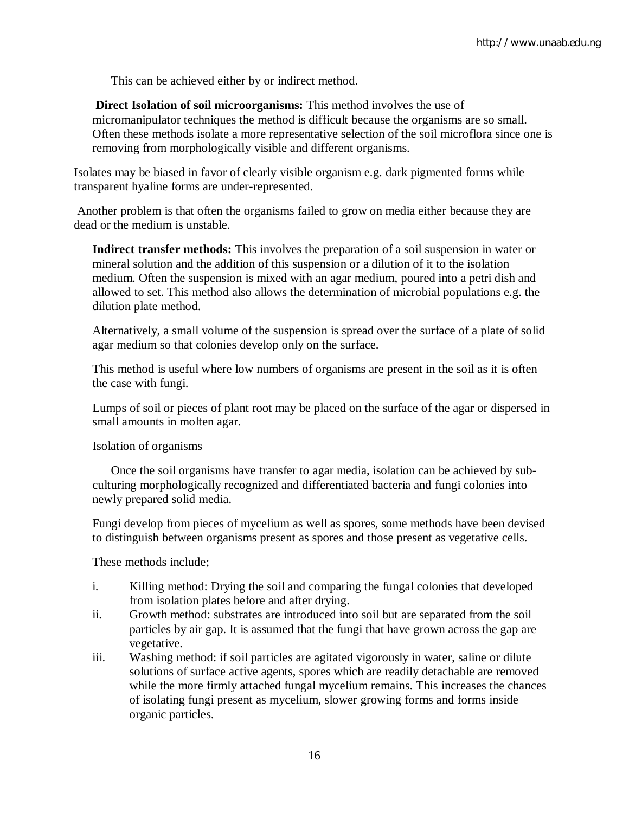This can be achieved either by or indirect method.

**Direct Isolation of soil microorganisms:** This method involves the use of micromanipulator techniques the method is difficult because the organisms are so small. Often these methods isolate a more representative selection of the soil microflora since one is removing from morphologically visible and different organisms.

Isolates may be biased in favor of clearly visible organism e.g. dark pigmented forms while transparent hyaline forms are under-represented.

Another problem is that often the organisms failed to grow on media either because they are dead or the medium is unstable.

**Indirect transfer methods:** This involves the preparation of a soil suspension in water or mineral solution and the addition of this suspension or a dilution of it to the isolation medium. Often the suspension is mixed with an agar medium, poured into a petri dish and allowed to set. This method also allows the determination of microbial populations e.g. the dilution plate method.

Alternatively, a small volume of the suspension is spread over the surface of a plate of solid agar medium so that colonies develop only on the surface.

This method is useful where low numbers of organisms are present in the soil as it is often the case with fungi.

Lumps of soil or pieces of plant root may be placed on the surface of the agar or dispersed in small amounts in molten agar.

Isolation of organisms

Once the soil organisms have transfer to agar media, isolation can be achieved by subculturing morphologically recognized and differentiated bacteria and fungi colonies into newly prepared solid media.

Fungi develop from pieces of mycelium as well as spores, some methods have been devised to distinguish between organisms present as spores and those present as vegetative cells.

These methods include;

- i. Killing method: Drying the soil and comparing the fungal colonies that developed from isolation plates before and after drying.
- ii. Growth method: substrates are introduced into soil but are separated from the soil particles by air gap. It is assumed that the fungi that have grown across the gap are vegetative.
- iii. Washing method: if soil particles are agitated vigorously in water, saline or dilute solutions of surface active agents, spores which are readily detachable are removed while the more firmly attached fungal mycelium remains. This increases the chances of isolating fungi present as mycelium, slower growing forms and forms inside organic particles.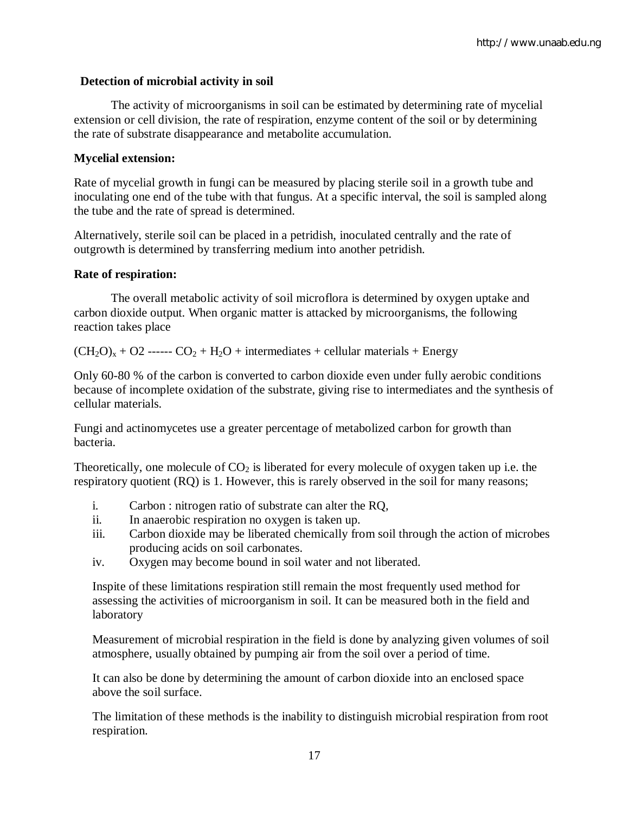### **Detection of microbial activity in soil**

 The activity of microorganisms in soil can be estimated by determining rate of mycelial extension or cell division, the rate of respiration, enzyme content of the soil or by determining the rate of substrate disappearance and metabolite accumulation.

#### **Mycelial extension:**

Rate of mycelial growth in fungi can be measured by placing sterile soil in a growth tube and inoculating one end of the tube with that fungus. At a specific interval, the soil is sampled along the tube and the rate of spread is determined.

Alternatively, sterile soil can be placed in a petridish, inoculated centrally and the rate of outgrowth is determined by transferring medium into another petridish.

#### **Rate of respiration:**

The overall metabolic activity of soil microflora is determined by oxygen uptake and carbon dioxide output. When organic matter is attacked by microorganisms, the following reaction takes place

 $(CH_2O_x + O2$  ------  $CO_2 + H_2O$  + intermediates + cellular materials + Energy

Only 60-80 % of the carbon is converted to carbon dioxide even under fully aerobic conditions because of incomplete oxidation of the substrate, giving rise to intermediates and the synthesis of cellular materials.

Fungi and actinomycetes use a greater percentage of metabolized carbon for growth than bacteria.

Theoretically, one molecule of  $CO<sub>2</sub>$  is liberated for every molecule of oxygen taken up i.e. the respiratory quotient (RQ) is 1. However, this is rarely observed in the soil for many reasons;

- i. Carbon : nitrogen ratio of substrate can alter the RQ,
- ii. In anaerobic respiration no oxygen is taken up.
- iii. Carbon dioxide may be liberated chemically from soil through the action of microbes producing acids on soil carbonates.
- iv. Oxygen may become bound in soil water and not liberated.

Inspite of these limitations respiration still remain the most frequently used method for assessing the activities of microorganism in soil. It can be measured both in the field and laboratory

Measurement of microbial respiration in the field is done by analyzing given volumes of soil atmosphere, usually obtained by pumping air from the soil over a period of time.

It can also be done by determining the amount of carbon dioxide into an enclosed space above the soil surface.

The limitation of these methods is the inability to distinguish microbial respiration from root respiration.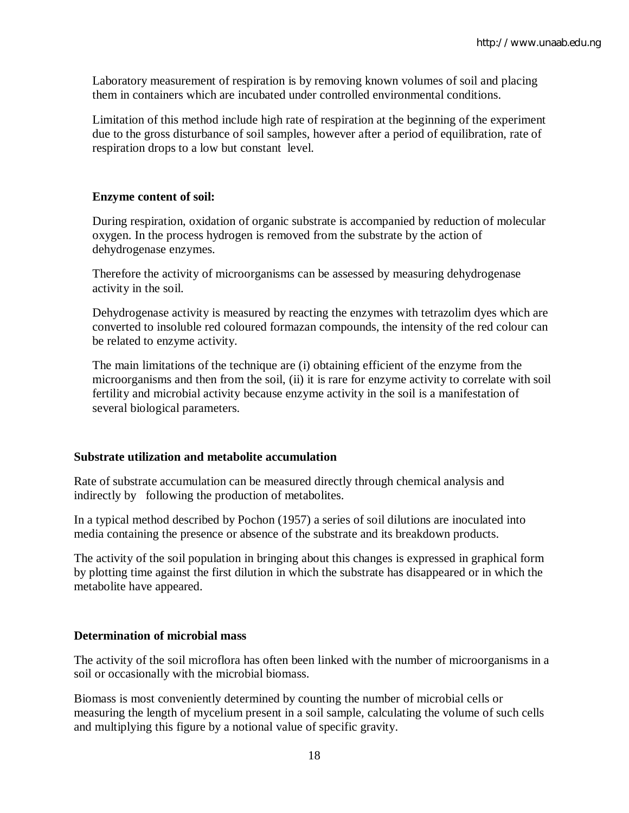Laboratory measurement of respiration is by removing known volumes of soil and placing them in containers which are incubated under controlled environmental conditions.

Limitation of this method include high rate of respiration at the beginning of the experiment due to the gross disturbance of soil samples, however after a period of equilibration, rate of respiration drops to a low but constant level.

## **Enzyme content of soil:**

During respiration, oxidation of organic substrate is accompanied by reduction of molecular oxygen. In the process hydrogen is removed from the substrate by the action of dehydrogenase enzymes.

Therefore the activity of microorganisms can be assessed by measuring dehydrogenase activity in the soil.

Dehydrogenase activity is measured by reacting the enzymes with tetrazolim dyes which are converted to insoluble red coloured formazan compounds, the intensity of the red colour can be related to enzyme activity.

The main limitations of the technique are (i) obtaining efficient of the enzyme from the microorganisms and then from the soil, (ii) it is rare for enzyme activity to correlate with soil fertility and microbial activity because enzyme activity in the soil is a manifestation of several biological parameters.

## **Substrate utilization and metabolite accumulation**

Rate of substrate accumulation can be measured directly through chemical analysis and indirectly by following the production of metabolites.

In a typical method described by Pochon (1957) a series of soil dilutions are inoculated into media containing the presence or absence of the substrate and its breakdown products.

The activity of the soil population in bringing about this changes is expressed in graphical form by plotting time against the first dilution in which the substrate has disappeared or in which the metabolite have appeared.

## **Determination of microbial mass**

The activity of the soil microflora has often been linked with the number of microorganisms in a soil or occasionally with the microbial biomass.

Biomass is most conveniently determined by counting the number of microbial cells or measuring the length of mycelium present in a soil sample, calculating the volume of such cells and multiplying this figure by a notional value of specific gravity.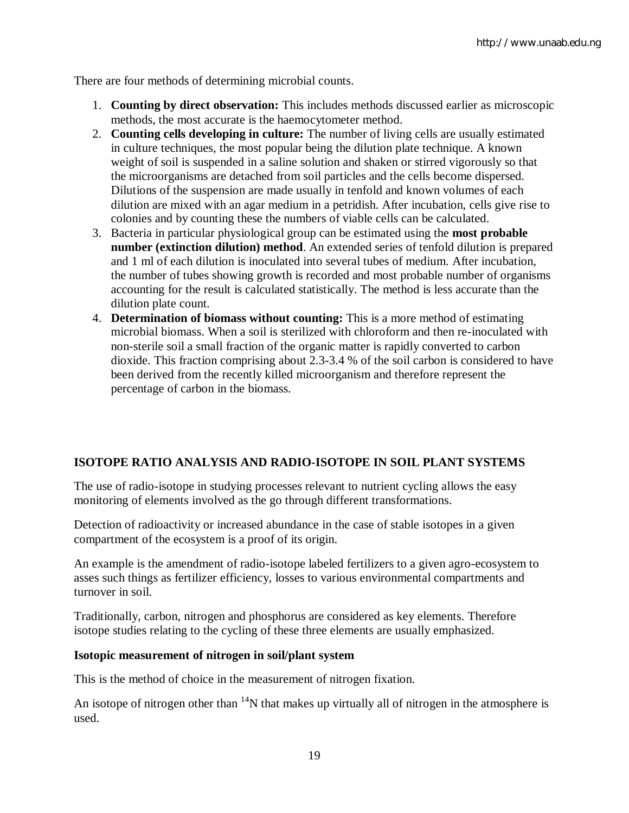There are four methods of determining microbial counts.

- 1. **Counting by direct observation:** This includes methods discussed earlier as microscopic methods, the most accurate is the haemocytometer method.
- 2. **Counting cells developing in culture:** The number of living cells are usually estimated in culture techniques, the most popular being the dilution plate technique. A known weight of soil is suspended in a saline solution and shaken or stirred vigorously so that the microorganisms are detached from soil particles and the cells become dispersed. Dilutions of the suspension are made usually in tenfold and known volumes of each dilution are mixed with an agar medium in a petridish. After incubation, cells give rise to colonies and by counting these the numbers of viable cells can be calculated.
- 3. Bacteria in particular physiological group can be estimated using the **most probable number (extinction dilution) method**. An extended series of tenfold dilution is prepared and 1 ml of each dilution is inoculated into several tubes of medium. After incubation, the number of tubes showing growth is recorded and most probable number of organisms accounting for the result is calculated statistically. The method is less accurate than the dilution plate count.
- 4. **Determination of biomass without counting:** This is a more method of estimating microbial biomass. When a soil is sterilized with chloroform and then re-inoculated with non-sterile soil a small fraction of the organic matter is rapidly converted to carbon dioxide. This fraction comprising about 2.3-3.4 % of the soil carbon is considered to have been derived from the recently killed microorganism and therefore represent the percentage of carbon in the biomass.

## **ISOTOPE RATIO ANALYSIS AND RADIO-ISOTOPE IN SOIL PLANT SYSTEMS**

The use of radio-isotope in studying processes relevant to nutrient cycling allows the easy monitoring of elements involved as the go through different transformations.

Detection of radioactivity or increased abundance in the case of stable isotopes in a given compartment of the ecosystem is a proof of its origin.

An example is the amendment of radio-isotope labeled fertilizers to a given agro-ecosystem to asses such things as fertilizer efficiency, losses to various environmental compartments and turnover in soil.

Traditionally, carbon, nitrogen and phosphorus are considered as key elements. Therefore isotope studies relating to the cycling of these three elements are usually emphasized.

#### **Isotopic measurement of nitrogen in soil/plant system**

This is the method of choice in the measurement of nitrogen fixation.

An isotope of nitrogen other than  $14N$  that makes up virtually all of nitrogen in the atmosphere is used.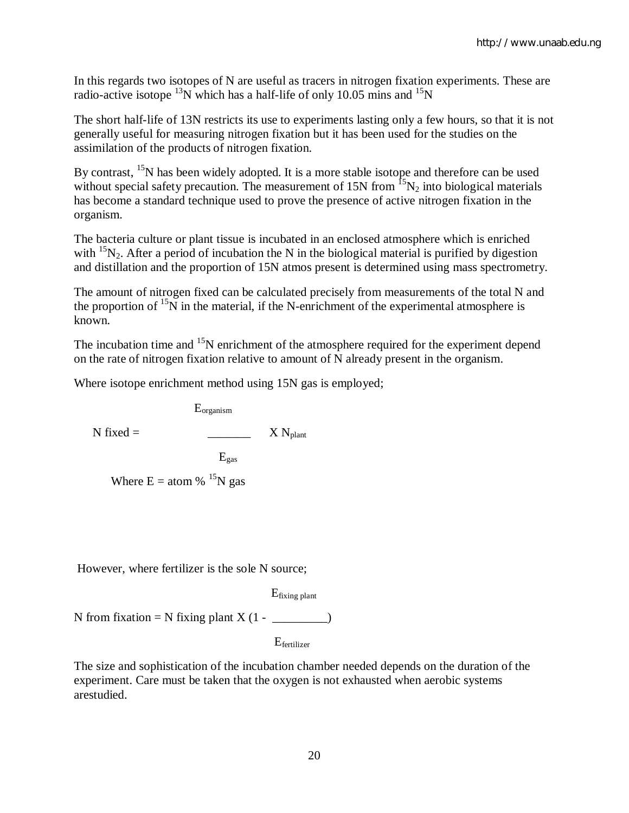In this regards two isotopes of N are useful as tracers in nitrogen fixation experiments. These are radio-active isotope  $^{13}$ N which has a half-life of only 10.05 mins and  $^{15}$ N

The short half-life of 13N restricts its use to experiments lasting only a few hours, so that it is not generally useful for measuring nitrogen fixation but it has been used for the studies on the assimilation of the products of nitrogen fixation.

By contrast, <sup>15</sup>N has been widely adopted. It is a more stable isotope and therefore can be used without special safety precaution. The measurement of 15N from  ${}^{15}N_2$  into biological materials has become a standard technique used to prove the presence of active nitrogen fixation in the organism.

The bacteria culture or plant tissue is incubated in an enclosed atmosphere which is enriched with  $15N_2$ . After a period of incubation the N in the biological material is purified by digestion and distillation and the proportion of 15N atmos present is determined using mass spectrometry.

The amount of nitrogen fixed can be calculated precisely from measurements of the total N and the proportion of  $15N$  in the material, if the N-enrichment of the experimental atmosphere is known.

The incubation time and  $15N$  enrichment of the atmosphere required for the experiment depend on the rate of nitrogen fixation relative to amount of N already present in the organism.

Where isotope enrichment method using 15N gas is employed;

Eorganism

N fixed = \_\_\_\_\_\_\_ X Nplant

 $E_{\text{gas}}$ 

Where  $E =$  atom %  $^{15}N$  gas

However, where fertilizer is the sole N source;

Efixing plant

N from fixation = N fixing plant  $X(1 - \_$ 

Efertilizer

The size and sophistication of the incubation chamber needed depends on the duration of the experiment. Care must be taken that the oxygen is not exhausted when aerobic systems arestudied.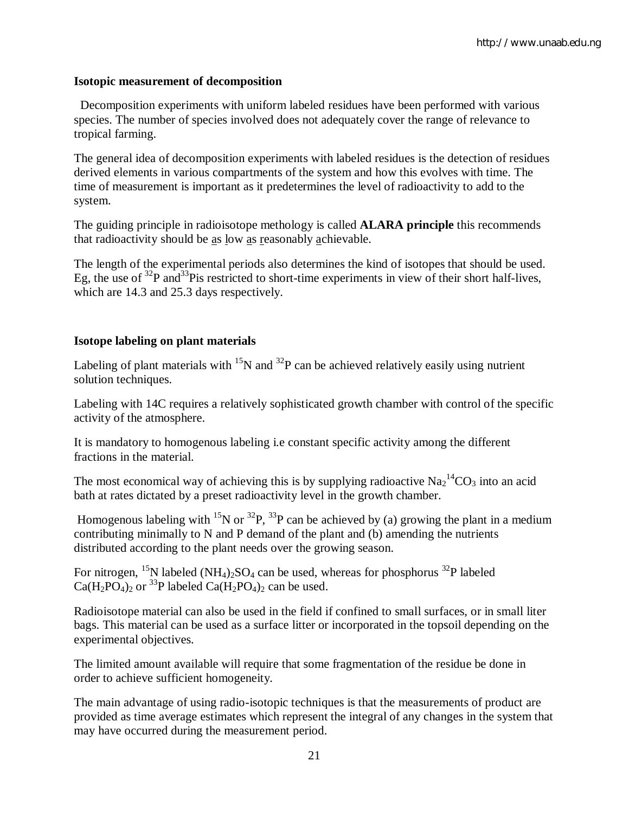#### **Isotopic measurement of decomposition**

 Decomposition experiments with uniform labeled residues have been performed with various species. The number of species involved does not adequately cover the range of relevance to tropical farming.

The general idea of decomposition experiments with labeled residues is the detection of residues derived elements in various compartments of the system and how this evolves with time. The time of measurement is important as it predetermines the level of radioactivity to add to the system.

The guiding principle in radioisotope methology is called **ALARA principle** this recommends that radioactivity should be as low as reasonably achievable.

The length of the experimental periods also determines the kind of isotopes that should be used. Eg, the use of  $^{32}P$  and  $^{33}P$  is restricted to short-time experiments in view of their short half-lives, which are 14.3 and 25.3 days respectively.

#### **Isotope labeling on plant materials**

Labeling of plant materials with  $^{15}N$  and  $^{32}P$  can be achieved relatively easily using nutrient solution techniques.

Labeling with 14C requires a relatively sophisticated growth chamber with control of the specific activity of the atmosphere.

It is mandatory to homogenous labeling i.e constant specific activity among the different fractions in the material.

The most economical way of achieving this is by supplying radioactive  $Na<sub>2</sub><sup>14</sup>CO<sub>3</sub>$  into an acid bath at rates dictated by a preset radioactivity level in the growth chamber.

Homogenous labeling with <sup>15</sup>N or <sup>32</sup>P, <sup>33</sup>P can be achieved by (a) growing the plant in a medium contributing minimally to N and P demand of the plant and (b) amending the nutrients distributed according to the plant needs over the growing season.

For nitrogen, <sup>15</sup>N labeled (NH<sub>4</sub>)<sub>2</sub>SO<sub>4</sub> can be used, whereas for phosphorus <sup>32</sup>P labeled  $Ca(H_2PO_4)_2$  or <sup>33</sup>P labeled  $Ca(H_2PO_4)_2$  can be used.

Radioisotope material can also be used in the field if confined to small surfaces, or in small liter bags. This material can be used as a surface litter or incorporated in the topsoil depending on the experimental objectives.

The limited amount available will require that some fragmentation of the residue be done in order to achieve sufficient homogeneity.

The main advantage of using radio-isotopic techniques is that the measurements of product are provided as time average estimates which represent the integral of any changes in the system that may have occurred during the measurement period.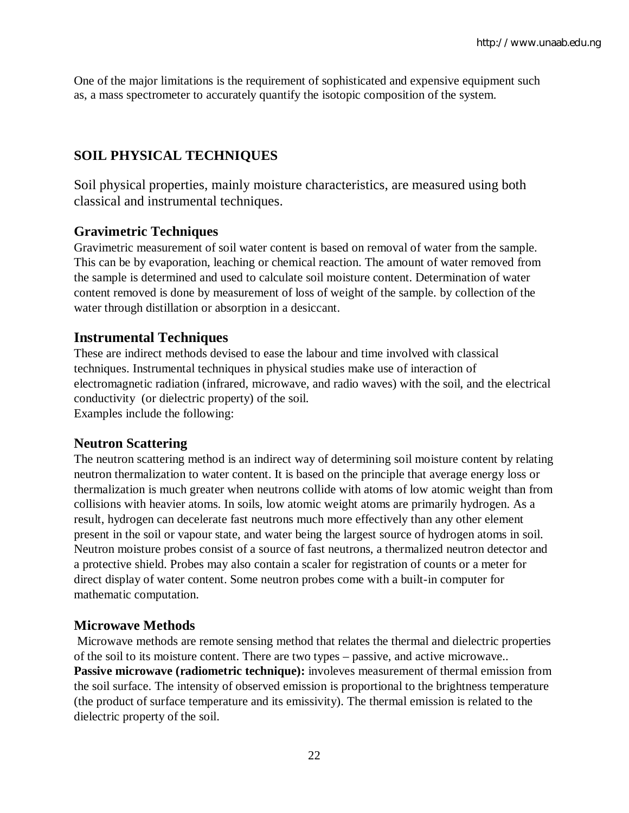One of the major limitations is the requirement of sophisticated and expensive equipment such as, a mass spectrometer to accurately quantify the isotopic composition of the system.

# **SOIL PHYSICAL TECHNIQUES**

Soil physical properties, mainly moisture characteristics, are measured using both classical and instrumental techniques.

## **Gravimetric Techniques**

Gravimetric measurement of soil water content is based on removal of water from the sample. This can be by evaporation, leaching or chemical reaction. The amount of water removed from the sample is determined and used to calculate soil moisture content. Determination of water content removed is done by measurement of loss of weight of the sample. by collection of the water through distillation or absorption in a desiccant.

## **Instrumental Techniques**

These are indirect methods devised to ease the labour and time involved with classical techniques. Instrumental techniques in physical studies make use of interaction of electromagnetic radiation (infrared, microwave, and radio waves) with the soil, and the electrical conductivity (or dielectric property) of the soil. Examples include the following:

## **Neutron Scattering**

The neutron scattering method is an indirect way of determining soil moisture content by relating neutron thermalization to water content. It is based on the principle that average energy loss or thermalization is much greater when neutrons collide with atoms of low atomic weight than from collisions with heavier atoms. In soils, low atomic weight atoms are primarily hydrogen. As a result, hydrogen can decelerate fast neutrons much more effectively than any other element present in the soil or vapour state, and water being the largest source of hydrogen atoms in soil. Neutron moisture probes consist of a source of fast neutrons, a thermalized neutron detector and a protective shield. Probes may also contain a scaler for registration of counts or a meter for direct display of water content. Some neutron probes come with a built-in computer for mathematic computation.

## **Microwave Methods**

Microwave methods are remote sensing method that relates the thermal and dielectric properties of the soil to its moisture content. There are two types – passive, and active microwave.. **Passive microwave (radiometric technique):** involeves measurement of thermal emission from the soil surface. The intensity of observed emission is proportional to the brightness temperature (the product of surface temperature and its emissivity). The thermal emission is related to the dielectric property of the soil.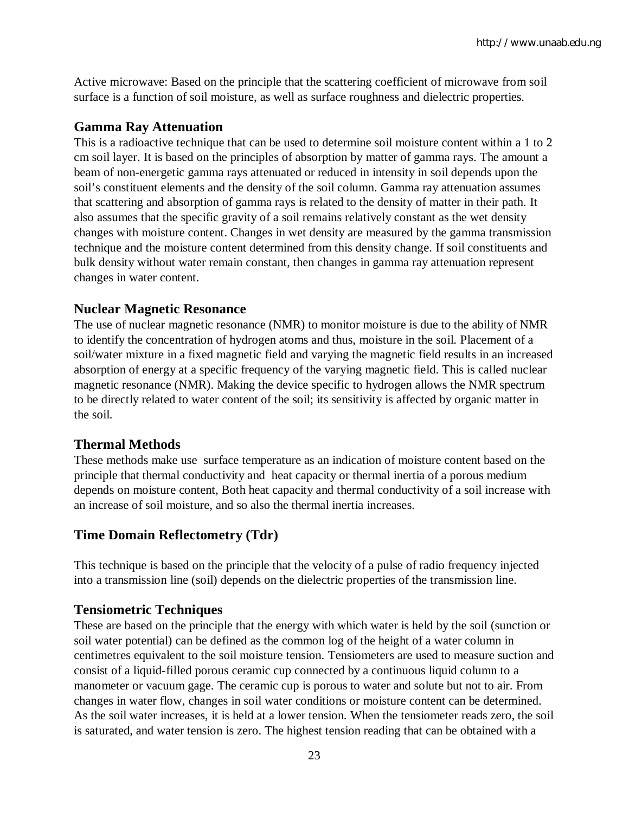Active microwave: Based on the principle that the scattering coefficient of microwave from soil surface is a function of soil moisture, as well as surface roughness and dielectric properties.

# **Gamma Ray Attenuation**

This is a radioactive technique that can be used to determine soil moisture content within a 1 to 2 cm soil layer. It is based on the principles of absorption by matter of gamma rays. The amount a beam of non-energetic gamma rays attenuated or reduced in intensity in soil depends upon the soil's constituent elements and the density of the soil column. Gamma ray attenuation assumes that scattering and absorption of gamma rays is related to the density of matter in their path. It also assumes that the specific gravity of a soil remains relatively constant as the wet density changes with moisture content. Changes in wet density are measured by the gamma transmission technique and the moisture content determined from this density change. If soil constituents and bulk density without water remain constant, then changes in gamma ray attenuation represent changes in water content.

## **Nuclear Magnetic Resonance**

The use of nuclear magnetic resonance (NMR) to monitor moisture is due to the ability of NMR to identify the concentration of hydrogen atoms and thus, moisture in the soil. Placement of a soil/water mixture in a fixed magnetic field and varying the magnetic field results in an increased absorption of energy at a specific frequency of the varying magnetic field. This is called nuclear magnetic resonance (NMR). Making the device specific to hydrogen allows the NMR spectrum to be directly related to water content of the soil; its sensitivity is affected by organic matter in the soil.

# **Thermal Methods**

These methods make use surface temperature as an indication of moisture content based on the principle that thermal conductivity and heat capacity or thermal inertia of a porous medium depends on moisture content, Both heat capacity and thermal conductivity of a soil increase with an increase of soil moisture, and so also the thermal inertia increases.

# **Time Domain Reflectometry (Tdr)**

This technique is based on the principle that the velocity of a pulse of radio frequency injected into a transmission line (soil) depends on the dielectric properties of the transmission line.

## **Tensiometric Techniques**

These are based on the principle that the energy with which water is held by the soil (sunction or soil water potential) can be defined as the common log of the height of a water column in centimetres equivalent to the soil moisture tension. Tensiometers are used to measure suction and consist of a liquid-filled porous ceramic cup connected by a continuous liquid column to a manometer or vacuum gage. The ceramic cup is porous to water and solute but not to air. From changes in water flow, changes in soil water conditions or moisture content can be determined. As the soil water increases, it is held at a lower tension. When the tensiometer reads zero, the soil is saturated, and water tension is zero. The highest tension reading that can be obtained with a